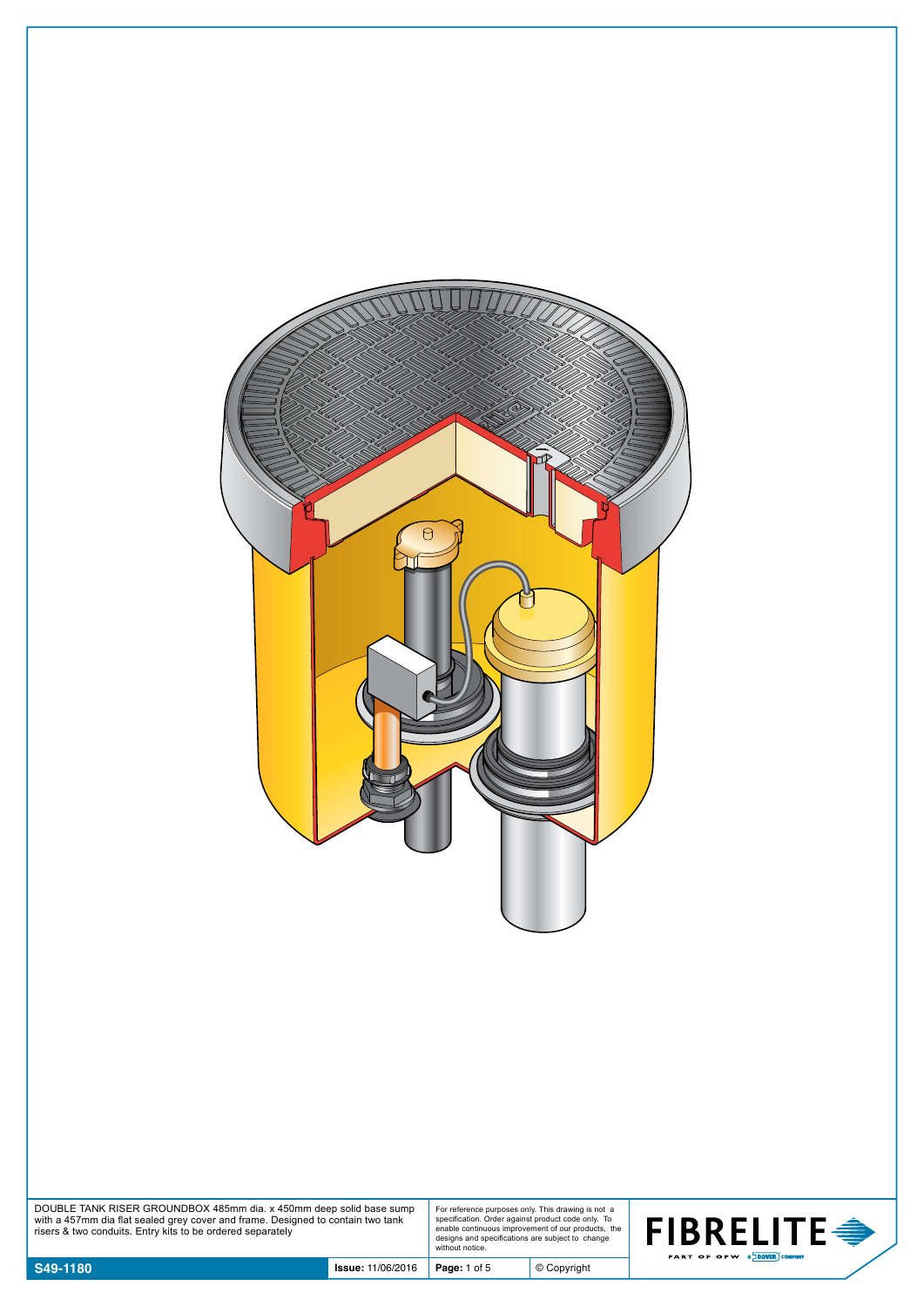

DOUBLE TANK RISER GROUNDBOX 485mm dia. x 450mm deep solid base sump with a 457mm dia flat sealed grey cover and frame. Designed to contain two tank risers & two conduits. Entry kits to be ordered separately

For reference purposes only. This drawing is not a specification. Order against product code only. To enable continuous improvement of our products, the designs and specifications are subject to change without notice.

© Copyright

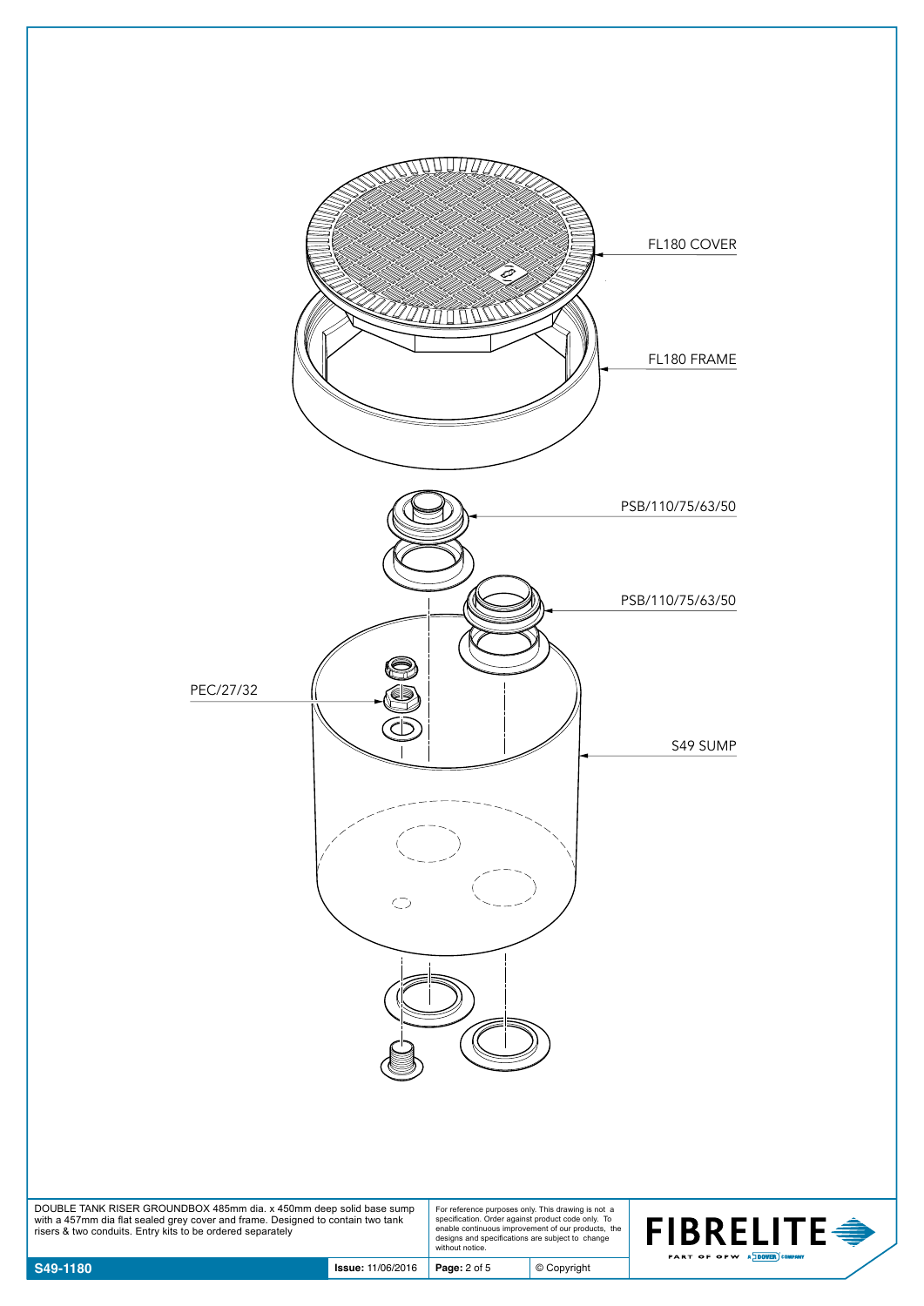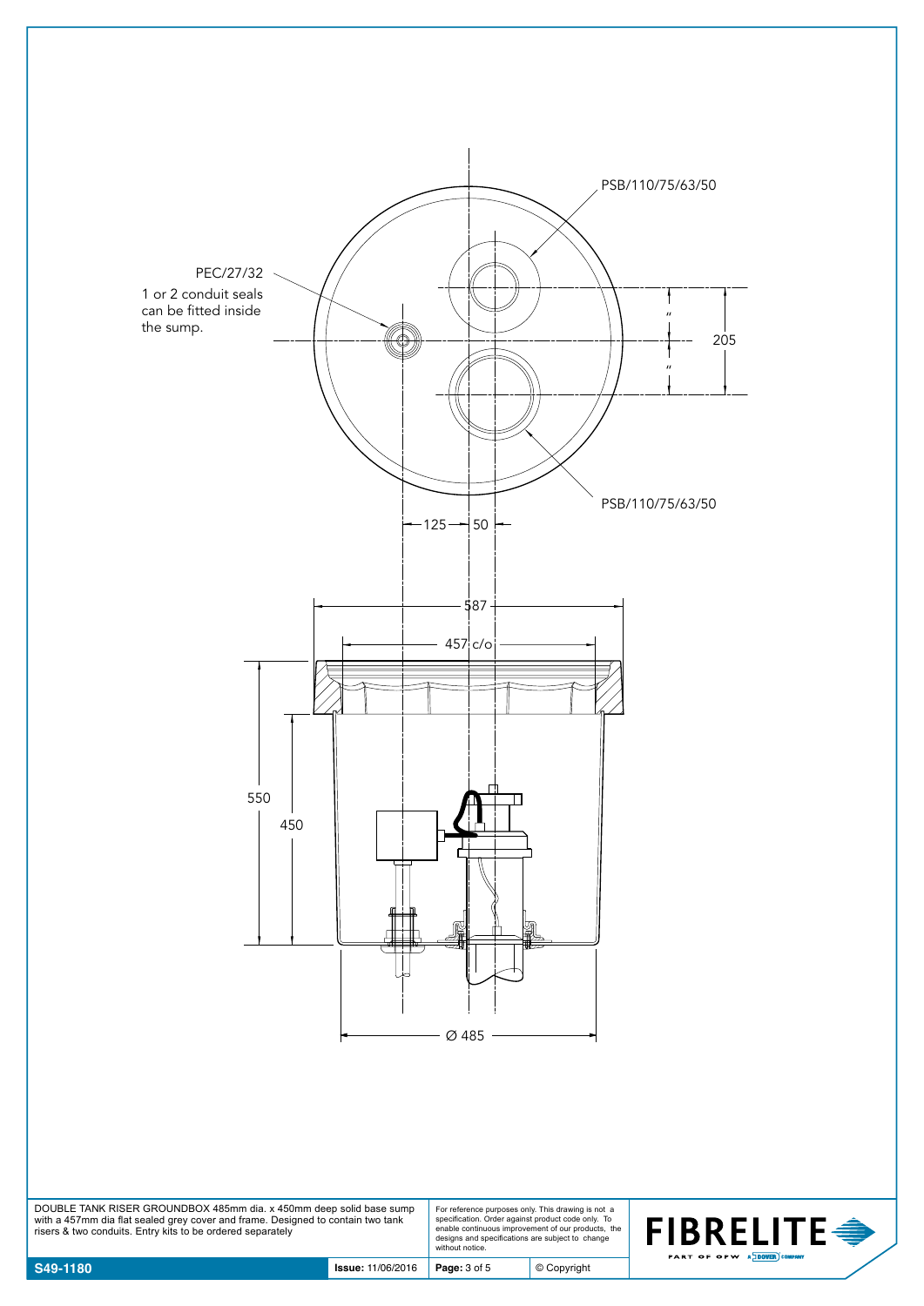

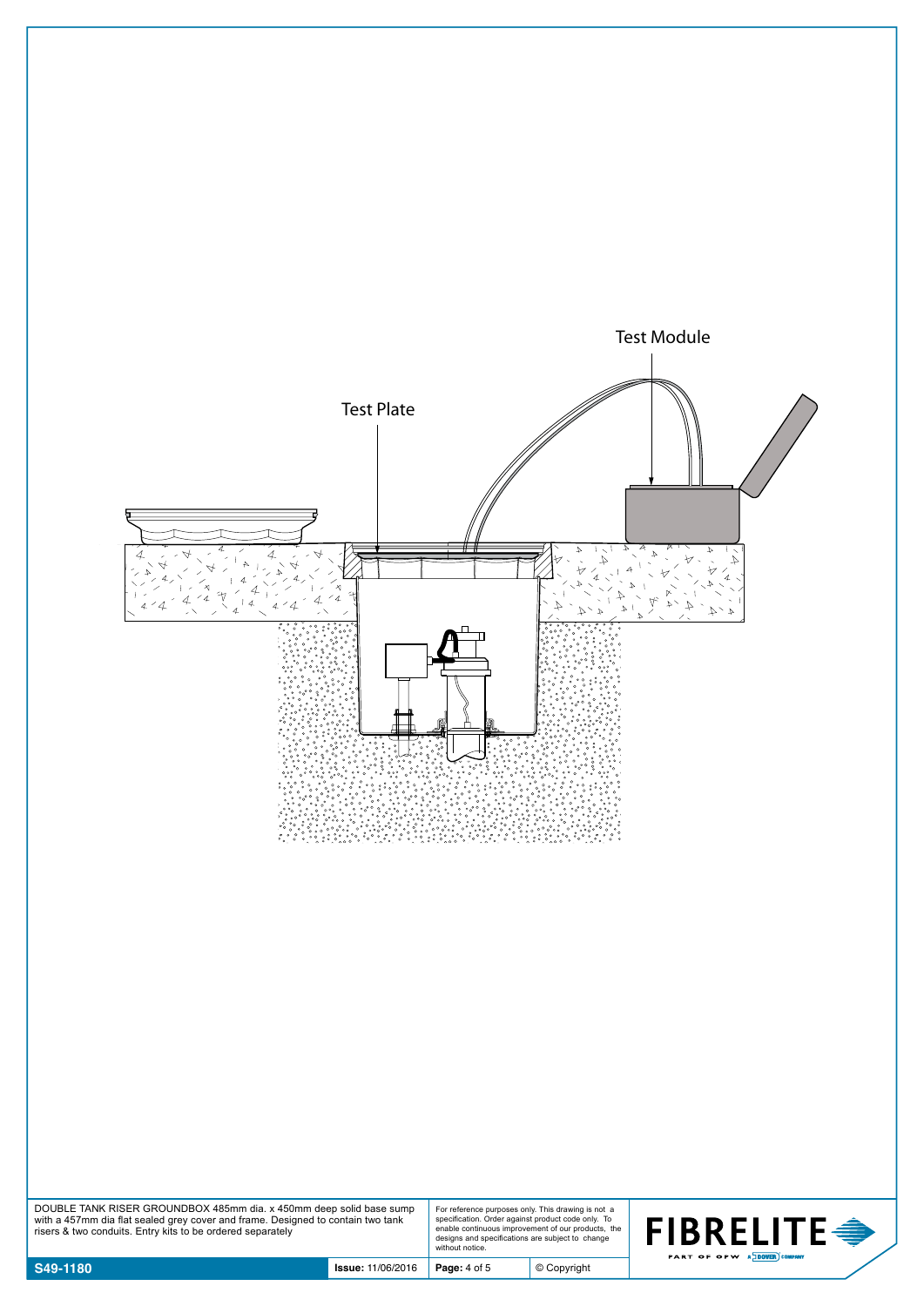